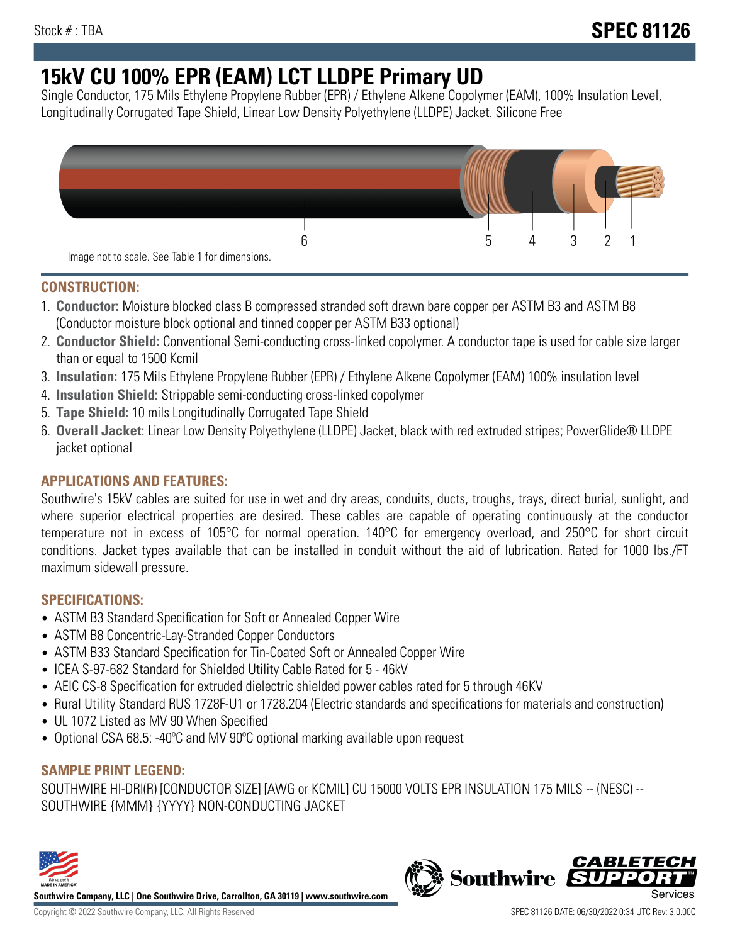# **15kV CU 100% EPR (EAM) LCT LLDPE Primary UD**

Single Conductor, 175 Mils Ethylene Propylene Rubber (EPR) / Ethylene Alkene Copolymer (EAM), 100% Insulation Level, Longitudinally Corrugated Tape Shield, Linear Low Density Polyethylene (LLDPE) Jacket. Silicone Free



## **CONSTRUCTION:**

- 1. **Conductor:** Moisture blocked class B compressed stranded soft drawn bare copper per ASTM B3 and ASTM B8 (Conductor moisture block optional and tinned copper per ASTM B33 optional)
- 2. **Conductor Shield:** Conventional Semi-conducting cross-linked copolymer. A conductor tape is used for cable size larger than or equal to 1500 Kcmil
- 3. **Insulation:** 175 Mils Ethylene Propylene Rubber (EPR) / Ethylene Alkene Copolymer (EAM) 100% insulation level
- 4. **Insulation Shield:** Strippable semi-conducting cross-linked copolymer
- 5. **Tape Shield:** 10 mils Longitudinally Corrugated Tape Shield
- 6. **Overall Jacket:** Linear Low Density Polyethylene (LLDPE) Jacket, black with red extruded stripes; PowerGlide® LLDPE jacket optional

# **APPLICATIONS AND FEATURES:**

Southwire's 15kV cables are suited for use in wet and dry areas, conduits, ducts, troughs, trays, direct burial, sunlight, and where superior electrical properties are desired. These cables are capable of operating continuously at the conductor temperature not in excess of 105°C for normal operation. 140°C for emergency overload, and 250°C for short circuit conditions. Jacket types available that can be installed in conduit without the aid of lubrication. Rated for 1000 lbs./FT maximum sidewall pressure.

### **SPECIFICATIONS:**

- ASTM B3 Standard Specification for Soft or Annealed Copper Wire
- ASTM B8 Concentric-Lay-Stranded Copper Conductors
- ASTM B33 Standard Specification for Tin-Coated Soft or Annealed Copper Wire
- ICEA S-97-682 Standard for Shielded Utility Cable Rated for 5 46kV
- AEIC CS-8 Specification for extruded dielectric shielded power cables rated for 5 through 46KV
- Rural Utility Standard RUS 1728F-U1 or 1728.204 (Electric standards and specifications for materials and construction)
- UL 1072 Listed as MV 90 When Specified
- Optional CSA 68.5: -40ºC and MV 90ºC optional marking available upon request

### **SAMPLE PRINT LEGEND:**

SOUTHWIRE HI-DRI(R) [CONDUCTOR SIZE] [AWG or KCMIL] CU 15000 VOLTS EPR INSULATION 175 MILS -- (NESC) -- SOUTHWIRE {MMM} {YYYY} NON-CONDUCTING JACKET



**Southwire Company, LLC | One Southwire Drive, Carrollton, GA 30119 | www.southwire.com**